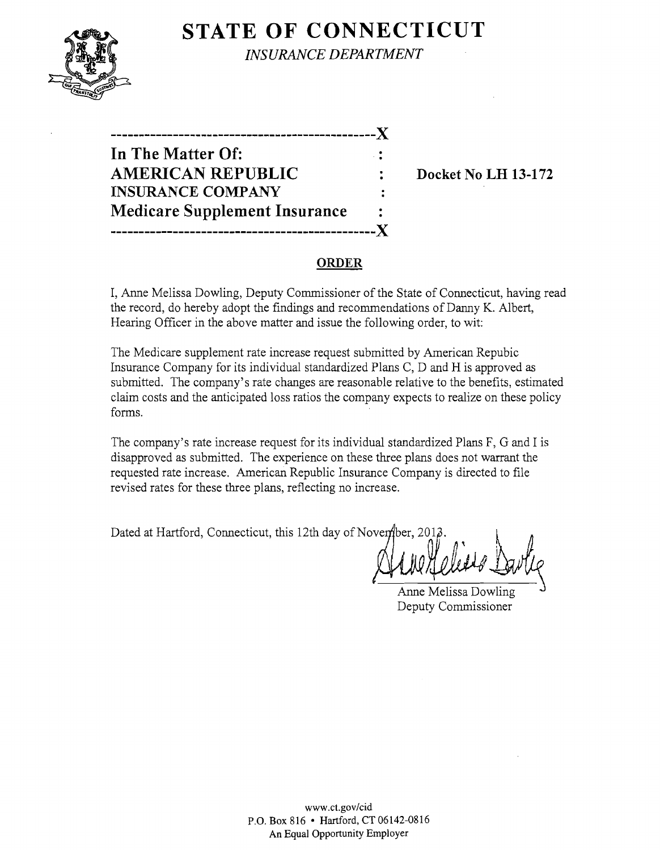

**STATE OF CONNECTICUT** *INSURANCE DEPARTMENT* 

**-----------------------------------------------)( In The Matter Of: AMERICAN REPUBLIC** : Docket No LH 13-172 **INSURANCE COMPANY Medicare Supplement Insurance -----------------------------------------------)(** 

# **ORDER**

I, Anne Melissa Dowling, Deputy Commissioner of the State of Connecticut, having read the record, do hereby adopt the findings and recommendations of Danny K. Albert, Hearing Officer in the above matter and issue the following order, to wit:

The Medicare supplement rate increase request submitted by American Repubic Insurance Company for its individual standardized Plans C, D and H is approved as submitted. The company's rate changes are reasonable relative to the benefits, estimated claim costs and the anticipated loss ratios the company expects to realize on these policy forms.

The company's rate increase request for its individual standardized Plans F, G and I is disapproved as submitted. The experience on these three plans does not warrant the requested rate increase. American Republic Insurance Company is directed to file revised rates for these three plans, reflecting no increase.

Dated at Hartford, Connecticut, this 12th day of November, 2012

Anne Melissa Dowling Deputy Commissioner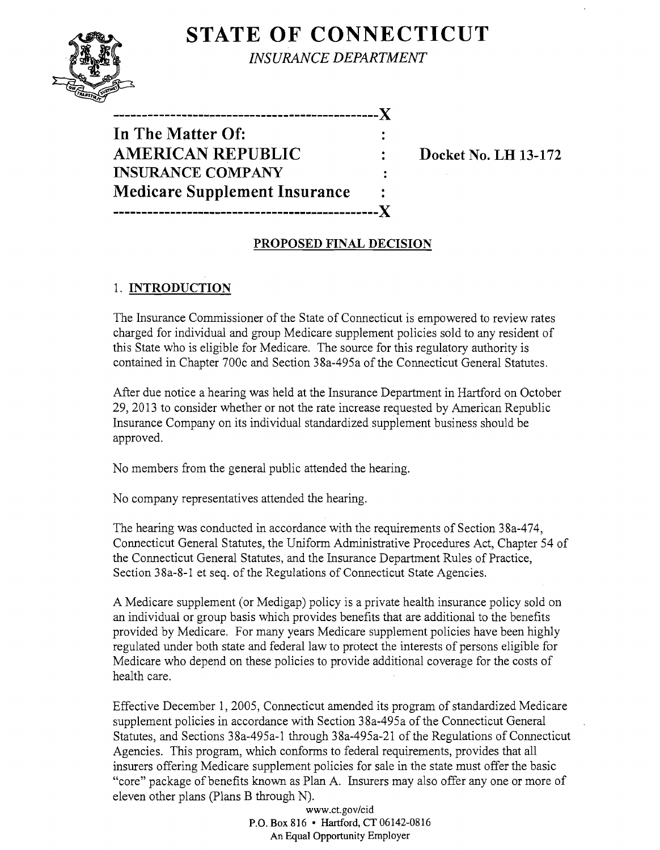# **STATE OF CONNECTICUT**



-----------------~-----------------------------J( **In The Matter Of: AMERICAN REPUBLIC : Docket No. LH 13-172 INSURANCE COMPANY Medicare Supplement Insurance -----------------------------------------------J(** 

## **PROPOSED FINAL DECISION**

### 1. **INTRODUCTION**

The Insurance Commissioner of the State of Connecticut is empowered to review rates charged for individual and group Medicare supplement policies sold to any resident of this State who is eligible for Medicare. The source for this regulatory authority is contained in Chapter 700c and Section 38a-495a of the Connecticut General Statutes.

After due notice a hearing was held at the Insurance Department in Hartford on October 29,2013 to consider whether or not the rate increase requested by American Republic Insurance Company on its individual standardized supplement business should be approved.

No members from the general public attended the hearing.

No company representatives attended the hearing.

The hearing was conducted in accordance with the requirements of Section 38a-474, Connecticut General Statutes, the Uniform Administrative Procedures Act, Chapter 54 of the Connecticut General Statutes, and the Insurance Department Rules of Practice, Section 38a-8-1 et seq. of the Regulations of Connecticut State Agencies.

A Medicare supplement (or Medigap) policy is a private health insurance policy sold on an individual or group basis which provides benefits that are additional to the benefits provided by Medicare. For many years Medicare supplement policies have been highly regulated under both state and federal law to protect the interests of persons eligible for Medicare who depend on these policies to provide additional coverage for the costs of health care.

Effective December 1, 2005, Connecticut amended its program of standardized Medicare supplement policies in accordance with Section 38a-495a of the Connecticut General Statutes, and Sections 38a-495a-1 through 38a-495a-21 of the Regulations of Connecticut Agencies. This program, which conforms to federal requirements, provides that all insurers offering Medicare supplement policies for sale in the state must offer the basic "core" package of benefits known as Plan A. Insurers may also offer anyone or more of eleven other plans (Plans B through N).

> www.ct.gov/cid P.O. Box 816 • Hartford, CT 06142-0816 An Equal Opportunity Employer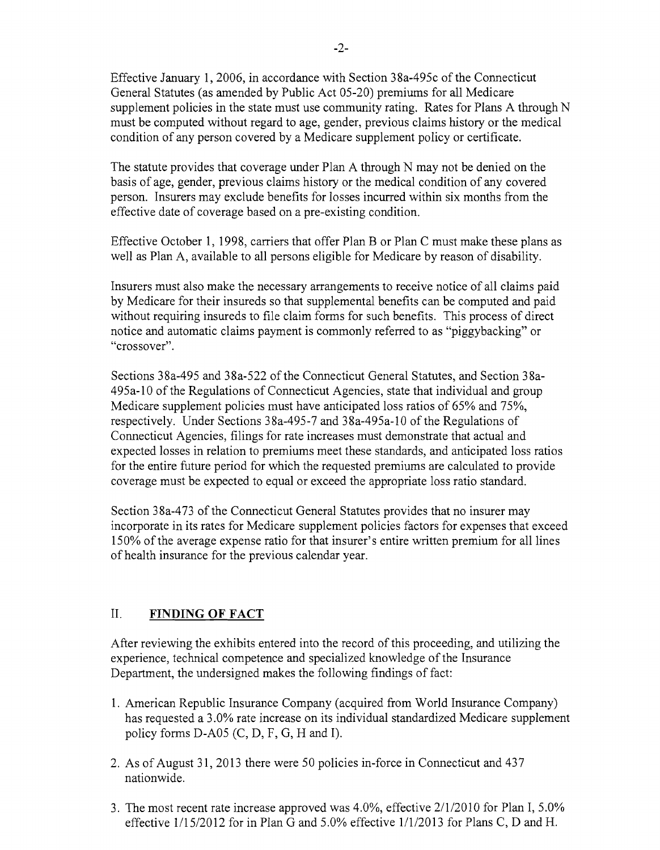Effective January 1, 2006, in accordance with Section 38a-495c of the Connecticut General Statutes (as amended by Public Act 05-20) premiums for all Medicare supplement policies in the state must use community rating. Rates for Plans A through N must be computed without regard to age, gender, previous claims history or the medical condition of any person covered by a Medicare supplement policy or certificate.

The statute provides that coverage under Plan A through N may not be denied on the basis of age, gender, previous claims history or the medical condition of any covered person. Insurers may exclude benefits for losses incurred within six months from the effective date of coverage based on a pre-existing condition.

Effective October 1, 1998, carriers that offer Plan B or Plan C must make these plans as well as Plan A, available to all persons eligible for Medicare by reason of disability.

Insurers must also make the necessary arrangements to receive notice of all claims paid by Medicare for their insureds so that supplemental benefits can be computed and paid without requiring insureds to file claim forms for such benefits. This process of direct notice and automatic claims payment is commonly referred to as "piggybacking" or "crossover".

Sections 38a-495 and 38a-522 of the Connecticut General Statutes, and Section 38a-495a-l0 of the Regulations of Connecticut Agencies, state that individual and group Medicare supplement policies must have anticipated loss ratios of 65% and 75%, respectively. Under Sections 38a-495-7 and 38a-495a-10 of the Regulations of Connecticut Agencies, filings for rate increases must demonstrate that actual and expected losses in relation to premiums meet these standards, and anticipated loss ratios for the entire future period for which the requested premiums are calculated to provide coverage must be expected to equal or exceed the appropriate loss ratio standard.

Section 38a-473 of the Connecticut General Statutes provides that no insurer may incorporate in its rates for Medicare supplement policies factors for expenses that exceed 150% of the average expense ratio for that insurer's entire written premium for all lines of health insurance for the previous calendar year.

#### II. **FINDING OF FACT**

After reviewing the exhibits entered into the record of this proceeding, and utilizing the experience, technical competence and specialized knowledge of the Insurance Department, the undersigned makes the following findings of fact:

- 1. American Republic Insurance Company (acquired from World Insurance Company) has requested a 3.0% rate increase on its individual standardized Medicare supplement policy forms D-A05 (C, D, P, G, H and I).
- 2. As of August 31, 2013 there were 50 policies in-force in Connecticut and 437 nationwide.
- 3. The most recent rate increase approved was 4.0%, effective 2/1/2010 for Plan I, 5.0% effective  $1/15/2012$  for in Plan G and 5.0% effective  $1/1/2013$  for Plans C, D and H.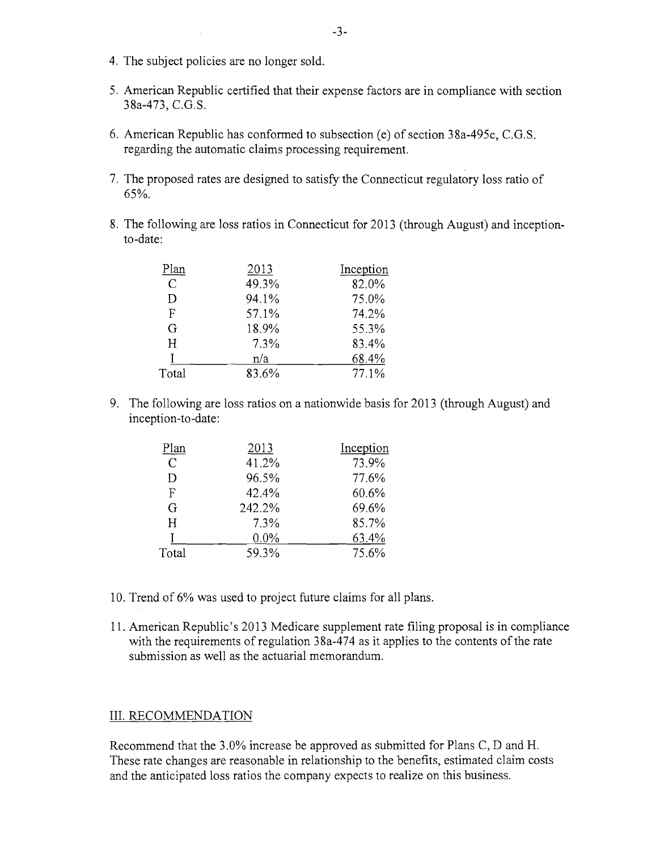- 4. The subject policies are no longer sold.
- 5. American Republic certified that their expense factors are in compliance with section 38a-473, C.G.S.
- 6. American Republic has conformed to subsection (e) of section 38a-495c, C.G.S. regarding the automatic claims processing requirement.
- 7. The proposed rates are designed to satisfy the Connecticut regulatory loss ratio of 65%.
- 8. The following are loss ratios in Connecticut for 2013 (through August) and inceptionto-date:

| Plan          | 2013  | Inception |
|---------------|-------|-----------|
| $\mathcal{C}$ | 49.3% | 82.0%     |
| D             | 94.1% | 75.0%     |
| F             | 57.1% | 74.2%     |
| G             | 18.9% | 55.3%     |
| H             | 7.3%  | 83.4%     |
|               | n/a   | 68.4%     |
| Total         | 83.6% | 77.1%     |
|               |       |           |

9. The following are loss ratios on a nationwide basis for 2013 (through August) and inception-to-date:

| Plan          | 2013   | Inception |
|---------------|--------|-----------|
| $\mathcal{C}$ | 41.2%  | 73.9%     |
| D             | 96.5%  | 77.6%     |
| F             | 42.4%  | 60.6%     |
| G             | 242.2% | 69.6%     |
| H             | 7.3%   | 85.7%     |
|               | 0.0%   | 63.4%     |
| Total         | 59.3%  | 75.6%     |
|               |        |           |

- 10. Trend of 6% was used to project future claims for all plans.
- 11. American Republic's 2013 Medicare supplement rate filing proposal is in compliance with the requirements of regulation  $38a-474$  as it applies to the contents of the rate submission as well as the actuarial memorandum.

#### III. RECOMMENDATION

Recommend that the 3.0% increase be approved as submitted for Plans C, D and H. These rate changes are reasonable in relationship to the benefits, estimated claim costs and the anticipated loss ratios the company expects to realize on this business.